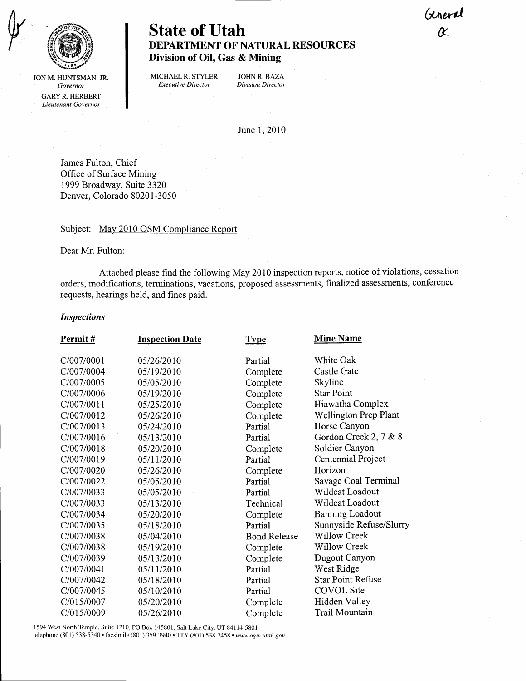General &



# State of Utah DEPARTMENT OF NATURAL RESOURCES Division of Oil, Gas & Mining

JON M. HUNTSMAN, JR. Governor GARY R. HERBERT Lieutenant Governor

MICHAEL R. STYLER JOHN R. BAZA<br>Executive Director Division Director Executive Director

June I,2010

James Fulton, Chief Office of Surface Mining 1999 Broadway, Suite 3320 Denver, Colorado 80201-3050

Subject: May 2010 OSM Compliance Report

Dear Mr. Fulton:

Attached please find the following May 2010 inspection reports, notice of violations, cessation orders, modifications, terminations, vacations, proposed assessments, finalized assessments, conference requests, hearings held, and fines paid.

## Inspections

| Permit#    | <b>Inspection Date</b> | <b>Type</b>         | <b>Mine Name</b>         |
|------------|------------------------|---------------------|--------------------------|
| C/007/0001 | 05/26/2010             | Partial             | White Oak                |
| C/007/0004 | 05/19/2010             | Complete            | Castle Gate              |
| C/007/0005 | 05/05/2010             | Complete            | Skyline                  |
| C/007/0006 | 05/19/2010             | Complete            | <b>Star Point</b>        |
| C/007/0011 | 05/25/2010             | Complete            | Hiawatha Complex         |
| C/007/0012 | 05/26/2010             | Complete            | Wellington Prep Plant    |
| C/007/0013 | 05/24/2010             | Partial             | Horse Canyon             |
| C/007/0016 | 05/13/2010             | Partial             | Gordon Creek 2, 7 & 8    |
| C/007/0018 | 05/20/2010             | Complete            | Soldier Canyon           |
| C/007/0019 | 05/11/2010             | Partial             | Centennial Project       |
| C/007/0020 | 05/26/2010             | Complete            | Horizon                  |
| C/007/0022 | 05/05/2010             | Partial             | Savage Coal Terminal     |
| C/007/0033 | 05/05/2010             | Partial             | Wildcat Loadout          |
| C/007/0033 | 05/13/2010             | Technical           | Wildcat Loadout          |
| C/007/0034 | 05/20/2010             | Complete            | <b>Banning Loadout</b>   |
| C/007/0035 | 05/18/2010             | Partial             | Sunnyside Refuse/Slurry  |
| C/007/0038 | 05/04/2010             | <b>Bond Release</b> | Willow Creek             |
| C/007/0038 | 05/19/2010             | Complete            | <b>Willow Creek</b>      |
| C/007/0039 | 05/13/2010             | Complete            | Dugout Canyon            |
| C/007/0041 | 05/11/2010             | Partial             | West Ridge               |
| C/007/0042 | 05/18/2010             | Partial             | <b>Star Point Refuse</b> |
| C/007/0045 | 05/10/2010             | Partial             | <b>COVOL</b> Site        |
| C/015/0007 | 05/20/2010             | Complete            | Hidden Valley            |
| C/015/0009 | 05/26/2010             | Complete            | Trail Mountain           |

1594 West North Temple, Suite 1210, PO Box 145801, Salt Lake City, UT 84114-5801 telephone (801) 538-5340 · facsimile (801) 359-3940 · TTY (801) 538-7458 · www.ogm.utah.gov